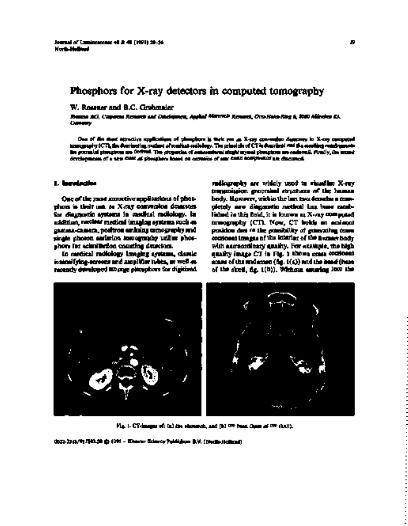# W. Rossner and B.C. Grabmaier

*Siemens AG, Corporate Research and Development, Applied Materials Research, Otto-Hahn-Ring 6, 8000 München 83, Germany*

One of the most attractive applications of phosphors is their use as X-ray conversion detectors in X-ray computed tomography (CT), the dominating method of medical radiology. The principle ofCTis described and the resulting requirements for potential phosphors are derived. The properties of conventional single crystal phosphors are reviewed. Finally, the recent developments of a new class of phosphors based on ceramics of rare earth compounds are discussed.

phors is their use as X-ray conversion detectors superioly are diagnostic method has been estab-<br>for diagnostic aystems in castilaal molology, in subjected in this bald, it is known at X-ray computed for diagnostic systems in medical radiology. In lished is this field, it is known as X-ray computed<br>addition, neclear medical imaging systems such 45 to temporaphy (CT). Now, CT bolds an amigoni addition, nuclear medical imaging systems such as to mography (CT). Now, CT holds an eminent<br>gamma-camera, positron emining comography and specifies due to the pendulity of generating come single photon emission tomography utilize phos-<br>shore for eductibation counting detectors.

intensifying-screens and amplifier tubes, as well as second of the abdomen (fig. 1(a)) and the head (base<br>recently developed at onge planguous for digitized soft the sizelf, fig. 1(b)), Whiteau, exterion 1000 the

**1. Introduction** radiography are widely used to visualize X-ray transmission generated structures of the human One of the most autostive applications of phot- body. However, within the last two decades a con-<br>phoes is their unt or X cay convenient denoming - plendy are diagonation nethod last have eachposition due of the possibility of generating come<br>conformi images of the interior of the possibility of on for scintillation counting detectors. with extraordinary quality. For example, the high<br>In metical radiology inseging systems, classic analyty image CT in Fig. 1 kbown come conformi In medical radiology imaging systems, classic quality image CT in Fig. <sup>1</sup> shows cross sectional recently developed storage phosphors for digitized of the skull, fig. 1(b)). Without entering into the



Fig. I. CT-images of: (a) the ,ihdomen, and )h) the head (ha~eof the skull).

0022-2313/91/\$03.50 © 1991 — Elsevier Science Publishers B.V. (North-Holland)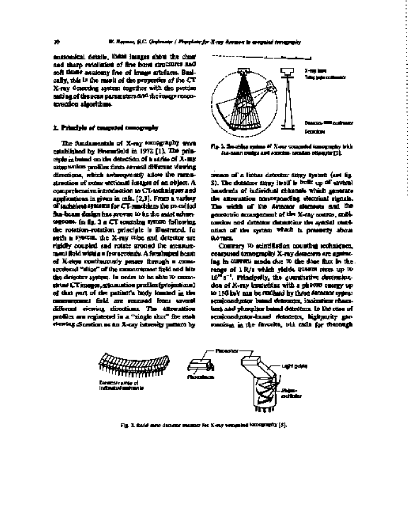anatomical details, these images show the clear and sharp resolution of fine bone structures and soft time anatomy free of image artefacts. Basi-  $\sim$   $\frac{1}{2}$   $\sim$   $\frac{1}{2}$   $\sim$   $\frac{1}{2}$   $\sim$   $\frac{1}{2}$   $\sim$   $\frac{1}{2}$   $\sim$   $\frac{1}{2}$   $\sim$   $\frac{1}{2}$   $\sim$   $\frac{1}{2}$   $\sim$   $\frac{1}{2}$   $\sim$   $\sim$   $\frac{1}{2}$   $\sim$   $\sim$   $\sim$   $\$  $\alpha$  ify, this is the result of the properties of the CT  $X$ -ray deserting system together with the precise setting of the scan parameters and the inauge reconstruction algorithms. -

The fundamentals of X-ray tomography were Fig. 2. Scanning system of X-ray computed tomography with established by Hounsfield in 1972 [1]. The prin- fan-beam design and rotation-rotation principle [3]. ciple is based on the detection of a series of X-ray attenuation profiles from several different viewing directions, which subsequently allow the recon- means of a linear detector array system (and fig.<br>struction of externe exclosed insures of an object. A still the dutation array include the built up of arvesti comprehensive introduction to CT-techniques and applications in given in call. [2,3]. From a variety the attenuation corresponding electrical signals.<br>of such heat syntems for CT-resolution the po-colled to the width of the American signature and the of technical systems for CT-machines the po-called The width of the detector sistements and the<br>flux-beam design has sygger to be the andel whyer a society in generation it of the X-ray course, subjtageous. In fig. <sup>2</sup> a CT scanning system following mation and detector determine the spatial resolthe rotation—rotation principle is illustrated. In ution of the system which is presently about such a system, the X-ray tube and detector are 0.4 mm. rigidly coupled and rotate around the measure- Contrary to scintillation counting techniques, ment field within a few seconds. A fanshaped beam computed tomography X-ray detectors are against-<br>of X-rays combination patter through a came- [an in current mode due 10 the dose flux in the of X-rays continuously passes through a camesectional "slice" ofthe measurement field and hits range of <sup>1</sup> R/s which yields quanta rates up to the detector system. In order to be able to reconstruct CTimages, attenuation profiles (projections) tion of X-ray intensities with a photon energy up of that part of the patient's body located in the to 150 keV can be realized by three detector types: measurement field are scanned from several semiconductor based detectors, ionization chamdifferent viewing directions. The attenuation bers and phosphor based detectors. In the case of profiles are registered in a "single shot" for each semiconductor-based detectors, highpurity gerviewing direction as an X-ray intensity pattern by manium is the favorite, but calls for thorough



s). The duttions struy inalf is built up of antical hazardize.  $\frac{1}{2}$ geomotoric design has proven to be most a most and most arrangement of the X-ray source, colli-

 $10^{16}$  s<sup>-1</sup>. Principally, the quantitative determina-



Fig. 3. Solid state detector scanner for X-ray computed tomography [5].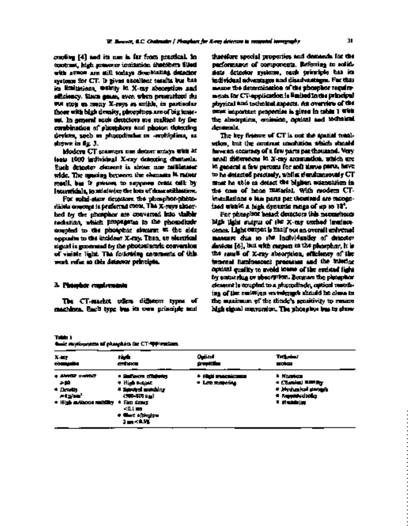combing [4] and its use is far from practical. In therefore special properties and demands for the<br>contrast, blah spincers intitation distribute Siled — parformance of components. Referring to solidcontrast, high pressure ionization distribute filled performance of components. Referring to solid-<br>with somes are still todays demobiating detector - sints detector systems, each twinniple has its with xenon are still todays dominating detector state detector systems, each principle has its systems for CT. It gives accellent results but has individual advantages and disadvantages. For that<br>in Emilyeisse, walnty in X-ray absorption and in manne the determination of the phosphor regularin limitations, walkly in X-ray absorption and reason the determination of the phosphor require-<br>efficiency, Since games, aven when presentions skill response for CT-application is limited in the principal efficiency. Since gases, aven when pressurized do metals for CT-application is limited to the principal application of the principal state of the principal state principal state of the principal state of the principal stat not stop as many X-rays as solids, in particular physical and technical aspects. An overview of the those with high density, phosphors are of big inter- most important properties is given in table I with<br>set, in agreepl such decidiors are maliked by the the absorption, conjugato, applical and to their and est. In general such detectors are realized by the combination of phosphors and photon detecting denamnia.<br>deviates, speb as phosphisches or -scottipliess, as The key finisce of CT is not the sential totaldevices, such as photodiodes or -multipliers, as Theorem is not the spatial resolution of CT is not the spatial resol<br>The spatial resolution of CT is not the spatial resolution of the spatial resolution of the spatial reso

least 1000 individual X-ray detecting dhamels. small differences in X-ray attenuation, which are<br>Ruch detector closent is show one militane are in general after percent for and three parts, have wide. The spacing between the elements is rather to be detected precisely, while simultaneously CT<br>specif, but is grown, to suppose creat calk by the small be to detect the bluken actinguishes in staall, but is present to suppose cross colk by must be able to detect the highest attenuation in .<br>Internitials to ministeries the lots of deachthations. This came of home material. With readers CT-

For solid-state detectors the phosphor-photo-<br>diote concept is perfected cocot, The X-recognitions bed by the phosphor are converted into visible radiation, which propagates to the photodiode high light surput of the X-ray excited luminoscoupled to the phototox signary of the side cence. Light output is fixelf out an overall universal opposite to the incident X-ray. Then, an electrical measure due to the individuality of detector signal is generated by the photoelectric conversion devices [6], but with respect to the phosphor, it is of visible light. The following comments of this the result of X-ray absorption, efficiency of the work refer to this detector principle, internal luminescent processes and the interior

selow, but the contrast conduction, which should<br>have an eccuracy of a faw parts per thousand. Very Modern CT scanners use dector arrays with <sup>art</sup> have an accuracy of a few parts per thousand. Very<br>a 1000 individual X-ray detecting d'unuels. Annuel differences <sup>le</sup> X-ray accumulate, which are Each detector element is about one millimeter in general a few percent for soft tissue parts, have<br>wide. The spacing between the elements is mover in to be detected proceedy, while significance wily CT interstitials,to minimize the loss of dose utilization, the case of bone material. With modern CTdised within a high dynamic mage of up to  $14^{\circ}$ .<br>For phraphot heard deuctions this naturalised

optical quality to avoid losses of the emitted light by scattering or absorption. Because the phosphor 3. **Phosphor requirements** element is coupled to a photodiode, optical matching of the emission wavelength should be close to The CT-market offers different types of the maximum of the diode's sensitivity to ensure machines. Each type has its own principle and high signal conversion. The phosphor has to show

Table <sup>1</sup>

Basic requirements of phosphors for CT-applications.

| <b>A-457</b>                                                                               | that a                                                                                                                             | استزارت                            | Treas and                                                                                             |
|--------------------------------------------------------------------------------------------|------------------------------------------------------------------------------------------------------------------------------------|------------------------------------|-------------------------------------------------------------------------------------------------------|
| compaña                                                                                    | onhera                                                                                                                             | providen                           | مرابي                                                                                                 |
| $+ 44402$ called<br>- 10<br>$+$ Density<br>三十五年 10<br>. High address residing . Easy draws | <b>. Surfators d'Enferier</b><br>+ High Butanz<br>4 Seinsteal anakshirun<br><b>1200-000 PM</b><br>≺LL⊞<br>e Gart alphythu<br>有两名的地 | * Hçil maceimus<br>* Lan Romanista | <b>Northern</b><br>* Classical MARINE<br># Afrahamical statistic<br>· <b>Representation</b><br>- 的复数医 |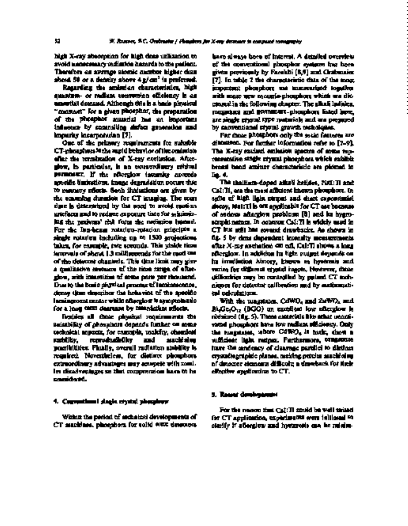high X-ray absorption for high dose utilization to have always been of interest. A detailed overview avoid unnecessary radiation hazards to the patient. of the conventional phosphor systems has been Therefore an average atomic number higher than given previously by Farukhi [8,9] and Grabmaier about 50 or a density above 4g/cm<sup>3</sup> is preferred. [7]. In table 2 the characteristic data of the most

quantum- or radiant conversion efficiency is an with mage new ceramic-phosphors which are disessential demand. Although this is a basic physical cussed in the following chapter. The alkali halides, "constant" for a given phosphor, the preparation tungstates and germanate-phosphors listed here, of the phosphor material has an important are single crystal type materials and are prepared influence by controlling defect generation and by conventional crystal growth techniques. impurity incorporation [7]. For these phosphors only the main features are

CT-phosphors is the rapid behavior ofthe emission The X-ray excited emission spectra of some repafter the termination of X-ray excitation. After- resentative single crystal phosphors which exhibit glow, in particular, is an extraordinary critical broad band emitter characteristic are plotted in parameter. If the afterglow intensity exceeds fig. 4. specific limitations, image degradation occurs due The thallium-doped alkali halides, NaI:Tl and to memory effects. Such limitations are given by CsI:Tl, are the most efficient known phosphors. In the scanning duration for CT imaging. The scan spite of high light output and short exponential time is determined by the need to avoid motion decay, NaI:Tl is not applicable for CT use because artefacts and to reduce exposure time for minimiz- of serious afterglow problems [8] and its hygroing the patients' risk from the radiation hazard. scopic nature. In contrast Csl:Tl is widely used in For the fan-beam rotation-rotation principle a CT but still has several drawbacks. As shown in single rotation including up to 1500 projections fig. 5 by time dependent intensity measurements takes, for example, two seconds. This yields time after X-ray excitation cut off, CsI:Tl shows a long intervals of about 1.3 milliseconds for the read out afterglow. In addition its light output depends on of the detector channels. This time limit may give its irradiation history, known as hyseresis and a qualitative measure of the time range of after- varies for different crystal ingots. However, these glow, with intensities of some parts per thousand. difficulties may be controlled by pulsed CT tech-Due to the basic physical process ofluminescence, niques for detector calibration and by mathematidecay time describes the behavior of the specific cal calculations. luming cominenter while afterglow is symptomatic With the tungstates, CdWO, and 2xWO, and

suitability of phosphors depends further on some vated phosphors have low radiant efficiency. Only<br>certaints aspects, for example, coalcity, chemical with transmisser, where COWO<sub>s</sub> is horiz, chest a technical aspects, for example, toxicity, chemical the tungstates, where CdWO<sub>4</sub> is toxic, show a<br>subliky, **reproducibility and macketing will close light respect Facthermore, congresse** surbility, reproducibility and machining validate light output. Furthermore, tungstates<br>passibilities Fhatiy, overall radiation stubblity is turn the andeacy of classage particle to distinct possibilities. Finally, overall radiation stability is have the tendency of cleavage parallel to distinct required. Nevertheless, for distinct phosphors crystallographic planes, making precise machining extraordinary advantages may compete with smal- of detector elements difficult; a drawback for their ler disadvantages so that compromises have to be effective application to CT. considered.

# 4. Conventional single crystal phosphors

Regarding the emission characteristics, high important phosphors are summarized together

One of the primary requirements for suitable discussed. For further information refer to [7—9].

4 and Zemersky and<br>4 Andre Zemersky for a long term decrease by retardation effects. Bi4Ge3O12 (BGO) an excellent low afterglow is Besides all these physical requirements the obtained (fig. 5). These materials like other unacti-<br>Besidibility of phosphats depends further on come word phosphats live fox redium officiency. Only

## 5. Recent developments

For the reason that CsI:Tl could be well suited Within the period of technical developments of for CT application, experiments were initiated to CT machines, phosphors for solid state detectors clarify if afterglow and hysteresis can be minim-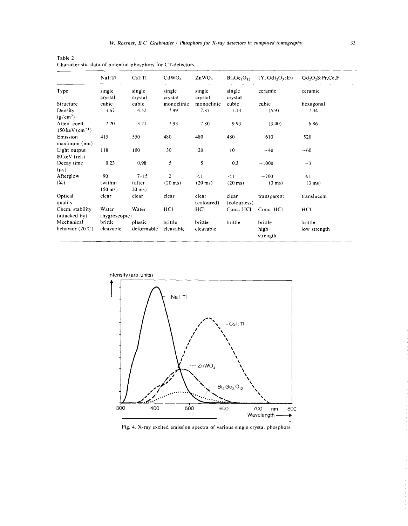|                                   | Nal:Tl                 | CsI:TI             | CdWO <sub>4</sub> | ZnWO <sub>4</sub>   | $Bi_4Ge_3O_1$         | (Y, Gd), O <sub>3</sub> :Eu | Gd, O, S: Pr, Ce, F |
|-----------------------------------|------------------------|--------------------|-------------------|---------------------|-----------------------|-----------------------------|---------------------|
| Type                              | single<br>crystal      | single<br>crystal  | single<br>crystal | single<br>crystal   | single<br>crystal     | ceramic                     | ceramic             |
| Structure                         | cubic                  | cubic              | monoclinic        | monoclinic          | cubic                 | cubic                       | hexagonal           |
| Density<br>$(g/cm^3)$             | 3.67                   | 4.52               | 7.99              | 7.87                | 7.13                  | (5.9)                       | 7.34                |
| Atten. coeff.<br>150 keV $(cm-1)$ | 2.20                   | 3.21               | 7.93              | 7.80                | 9.93                  | (3.40)                      | 6.86                |
| Emission<br>maximum (nm)          | 415                    | 550                | 480               | 480                 | 480                   | 610                         | 520                 |
| Light output<br>80 keV (rel.)     | 118                    | 100                | 30                | 20                  | 10                    | ~1                          | $-60$               |
| Decay time<br>$(\mu s)$           | 0.23                   | 0.98               | 5                 | 5                   | 0.3                   | ~1000                       | $-3$                |
| Afterglow                         | 90                     | $7 - 15$           | $\overline{2}$    | <1                  | $\leq$ 1              | $~1$ $~0$                   | $\leq 1$            |
| $(\%)$                            | (within<br>$150$ ms)   | (after<br>$20$ ms) | $(20 \text{ ms})$ | $(20 \text{ ms})$   | $(20 \text{ ms})$     | $(3 \text{ ms})$            | $(3 \text{ ms})$    |
| Optical<br>quality                | clear                  | clear              | clear             | clear<br>(coloured) | clear<br>(colourless) | transparent                 | translucent         |
| Chem. stability<br>(attacked by)  | Water<br>(hygroscopic) | Water              | HCI               | HC <sub>1</sub>     | Conc. HCl             | Conc. HCl                   | HCI                 |
| Mechanical                        | brittle                | plastic            | brittle           | brittle             | brittle               | brittle                     | brittle             |
| behavior (20°C)                   | cleavable              | deformable         | cleavable         | cleavable           |                       | high<br>strength            | low strength        |

Table 2 Characteristic data of potential phosphors for CT-detectors.



Fig. 4. X-ray excited emission spectra of various single crystal phosphors.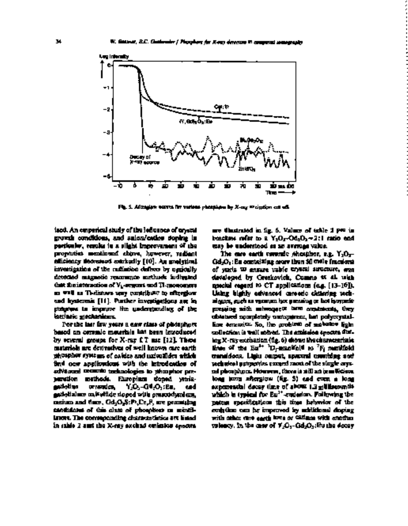

Fig. 5. Aftergion curves for various phosphors by X-ray excitation cut off.

growth conditions, and anion/cation doping in brackets refer to a  $Y_2O_3$ -Gd $_2O_3$ -2: 1 ration and  $\alpha$  and  $\alpha$  and  $\alpha$  and  $\alpha$  and  $\alpha$  and  $\alpha$  and  $\alpha$  and  $\alpha$  and  $\alpha$  and  $\alpha$  and  $\alpha$  and  $\alpha$  and  $\alpha$  and  $\alpha$ particular, results in a slight improvement of the<br>proporties maniforms above, however, regiont efficiency decreased entrivally [10]. An analytical Gd<sub>2</sub>O<sub>3</sub>:Eu containing more than 50 mole fractions<br>investigation of the radiation defects by ogricully of yorks W ansure value tryonal structure, and investigation of the radiation defects by optically detected magnetic reasonate methods indigated detected magnetic resonance methods indicated developed by Greskovich, Cumno et al. with<br>Out institutionation of V<sub>h</sub>-segment and TI-monomers **concerned regard** to CT applications (e.g. [13-16]). that the interaction of V<sub>k-</sub>centers and TI-monomers special regard to CT applications (e.g. [13-16]).<br>In WH is Thelistors ansy contribute to effections such highly edvanced careede citiering seckas well as Ti-distors may contribute to afterglow Using highly advanced careede chilaring tech-<br>and hystermic [11]. Purther investigations are in an alones, such as vecuum has pursuing to bat investme progress to improve the understanding of the pressing with the pressing with the pressing with the subsequent of the treatments. The subsequent of the second treatments of the second treatments of the second treatments, th

based on ceramic materials has been introduced collection is well solved. The emission spectra dur-<br>by several groups for X-ray f. T. ms f. 21. These correct exception (i.e. 6) dignot the characteristic materials are derivatives of well known rare earth<br>phospher systems of calides and universities which find ocar applications with the introduction of the characteristics exceed most of the single crysadvanced ceramic technologies to phosphor pre- tal phosphors. However, thereis still an insufficient paration methods, Europiana deped yenia-<br>gadolina ceramics, Y<sub>2</sub>O<sub>3</sub>-G4<sub>2</sub>O<sub>3</sub>:En, end gadolinium oxis with  $\alpha$  doped with prascodymism, cerium and fluor, Gd<sub>2</sub>O<sub>2</sub>S:P.,Ce<sub>r</sub>P, are promiting merium and there, Gd<sub>2</sub>O<sub>2</sub>S:Pr,Ce,F, are promising patent specifications this time behavior of the<br>candidates of this also: of phosphers on mindi- evolution can be improved by miditional desping candidates of this class of phosphors or scintil- emission can be improved by additional doping

ized. An emperical study of the influence of crystal are in the trated in fig. 6. Values of table 2 put in growth conditions, and suitable doping in  $\frac{1}{2}$  because of table 2 put in growth conditions, and suitable dopi

The care earth coverate shoulder, r.g.  $Y_2O_3-$  Gd<sub>2</sub>O<sub>3</sub>alques, euch us vacuum hot passing or hot investigations are in niques, such as vacuum hot pressing or hot in<br>pressing or hot as vacuum hotpressing or hotpressing or hotpressing or hotpressing or hotpressing or hot in th intrinsic <u>mechanisms.</u> obtained completely conspirent, but polycrystal-<br>For the last faw years a case class of placining extra a fine *complete So, the grobinit* of makes in fight For the last faw years a new class of phosphors line ceramics. So, the problem of embason light<br>based on ceramic meterials last hean inveduced coollection is well solved. The emission encore dut- $\log X$ -ray exchangen (fig. 6) shows the characteristic  $30-40$  the  $5a^{1+1}$  D-manifold to  $^7F_1$  manifold promodes s. Light output, spectral matching and paration methods. Europium doped yttria- long term afterglow (fig. 5) and even a long 1-Gd2O3:Eu, and exponential decay time of about 1.3 milliseconds which is typical for  ${\rm Eu}^{2+}$  codesion. Following the  $\,$ lators. The corresponding characteristics are listed with other rare earth ions or cations with another in  $t$ able 2 and the X-ray exclusi emission spectra valency. In the case of  $Y_2O_3$ -Gd, $O_3$ : Eu the decay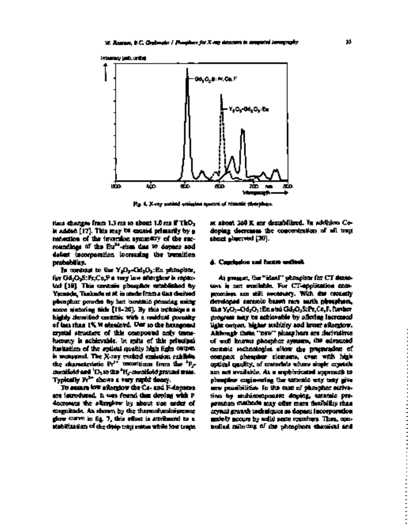

Fig. 6. X-ray excited emission spectra of ceramic phosphors.

is added [17]. This may be caused primarily by a doping decreases the concentration of all trap reduction of the inversion symmetry of the sur- states observed [20]. roundings of the Eur<br>definition tsites due to domain.<br><sup>3t</sup>sites due to domain and defect incorporation increasing the transition probability. **6. Conclusion and future outlook** 

In contrast to the Y 203-Canger, eu phosphor,<br>— leur afin af — le cann for Gd<sub>2</sub>O<sub>2</sub>S:Fr,Ce,F a very low afterglow is repto- At present, the "ideal" phosphor for CT detec-<br>tod [18]. This centure phosphor established by - toos is not excitable. For CT-application conted [18]. This ceramic phosphor established by tors is not available. For CT-application corr-<br>Yamada, Tuakada et at is studie from a that desived the promises are still securitory. With the coronaty phengham provides by hert isostation promises manger and developed cannolo beauty recently phenghases, phosphor powder by hot isostatic pressing using developed ceramic based rare earth phosphors, some sintering aids [18-20]. By this technique a like Y203-Gd203:Eu and Gd2O2S:Pr,Ce,F, further highly densified ceramic with a residual porosity progress may be achievable by offering increased<br>of tass than 1% is strained. Our so the housgonal — light certaes, higher suddity and knott aftergiow. crystal structure of this compound only trace-<br>history is achievable, "in spits of this principal limitation of the spilcial quality high fight output ceramic rechnologies allow the preparation of<br>is monopoed. The X-ray exclude ceriodon exhibits — compact phospher elements, creaments high is measured. The X-ray excited emission exhibits compact phosphor elements, even with high the characteristic Pr manifold and <sup>i</sup>D<br>manifold and <sup>i</sup>D 2 to the

stabilization ofthe deep trap states while low traps trolled tailoring of the phosphors chemical and

time changes from 1.3 ms to about 1.0 ms if ThO<sub>2</sub> at about 260 K are destabilized. In addition Co-<br>is added [17]. This may be exceed primarily by **g** aboping decreases the concentration of all trup

light origin. Digher multify sod livent afterglow.<br>Although them, "new" phaspham are derivalives of well known phosphor systems, ins advanced<br>contains sochoologies afters the presentation of aptical quality, of materials where single crystals 3H~-manifoldground state. are not available. As a sophisticated approach to Typically  $Pr^{2*}$  thows a very rapid decay. phosphor engineering the ceramic way may give To ensure low afterglow the Ce- and F-dopants new possibilities. In the case of phosphor activaare introduced, It was found that doping with F tion by multicomponent doping, ceramic predecreases the afterglow by about one order of **provision methods may offer more flexibility than** magnitude. As shown by the thermoluminiscence crystal growth techniques as dopant incorporation glow curve in fig. 7, this effect is attributed to a mainly occurs by solid state reactions, Thus, con-